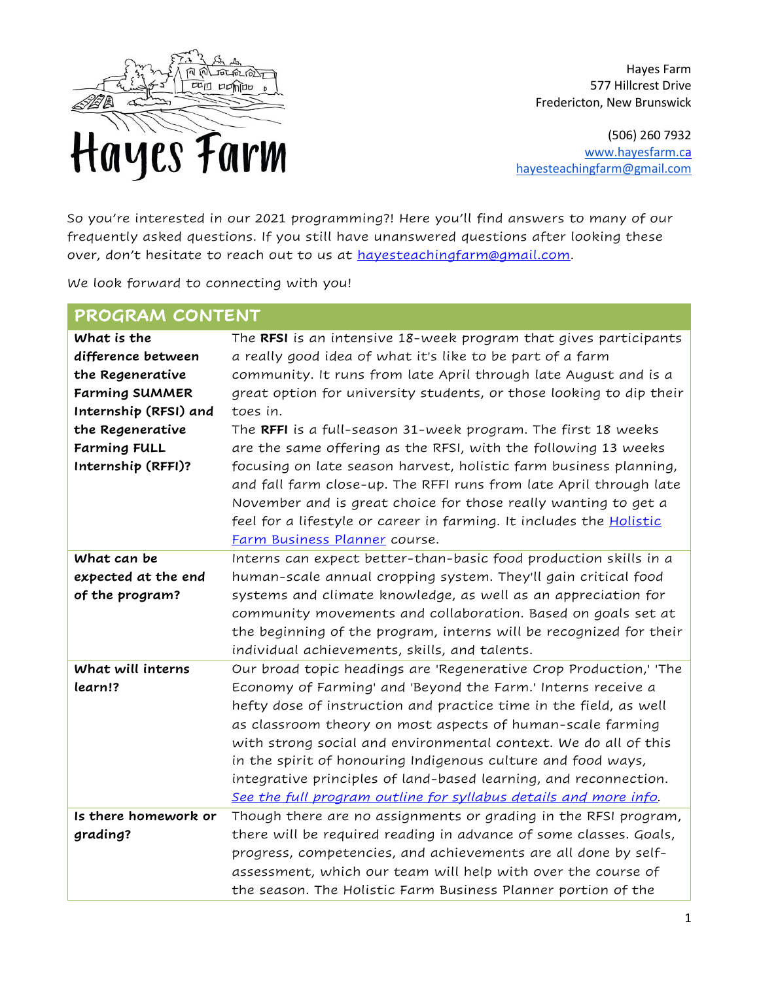

Hayes Farm 577 Hillcrest Drive Fredericton, New Brunswick

(506) 260 7932 [www.hayesfarm.ca](http://www.hayesfarm.ca/) [hayesteachingfarm@gmail.com](mailto:hayesteachingfarm@gmail.com)

So you're interested in our 2021 programming?! Here you'll find answers to many of our frequently asked questions. If you still have unanswered questions after looking these over, don't hesitate to reach out to us at [hayesteachingfarm@gmail.com.](mailto:hayesteachingfarm@gmail.com)

We look forward to connecting with you!

| PROGRAM CONTENT       |                                                                                                                                                                                                                                                                                                                          |
|-----------------------|--------------------------------------------------------------------------------------------------------------------------------------------------------------------------------------------------------------------------------------------------------------------------------------------------------------------------|
| What is the           | The RFSI is an intensive 18-week program that gives participants                                                                                                                                                                                                                                                         |
| difference between    | a really good idea of what it's like to be part of a farm                                                                                                                                                                                                                                                                |
| the Regenerative      | community. It runs from late April through late August and is a                                                                                                                                                                                                                                                          |
| <b>Farming SUMMER</b> | great option for university students, or those looking to dip their                                                                                                                                                                                                                                                      |
| Internship (RFSI) and | toes in.                                                                                                                                                                                                                                                                                                                 |
| the Regenerative      | The RFFI is a full-season 31-week program. The first 18 weeks                                                                                                                                                                                                                                                            |
| <b>Farming FULL</b>   | are the same offering as the RFSI, with the following 13 weeks                                                                                                                                                                                                                                                           |
| Internship (RFFI)?    | focusing on late season harvest, holistic farm business planning,<br>and fall farm close-up. The RFFI runs from late April through late<br>November and is great choice for those really wanting to get a<br>feel for a lifestyle or career in farming. It includes the <b>Holistic</b><br>Farm Business Planner course. |
| What can be           | Interns can expect better-than-basic food production skills in a                                                                                                                                                                                                                                                         |
| expected at the end   | human-scale annual cropping system. They'll gain critical food                                                                                                                                                                                                                                                           |
| of the program?       | systems and climate knowledge, as well as an appreciation for                                                                                                                                                                                                                                                            |
|                       | community movements and collaboration. Based on goals set at                                                                                                                                                                                                                                                             |
|                       | the beginning of the program, interns will be recognized for their                                                                                                                                                                                                                                                       |
|                       | individual achievements, skills, and talents.                                                                                                                                                                                                                                                                            |
| What will interns     | Our broad topic headings are 'Regenerative Crop Production,' 'The                                                                                                                                                                                                                                                        |
| learn!?               | Economy of Farming' and 'Beyond the Farm.' Interns receive a                                                                                                                                                                                                                                                             |
|                       | hefty dose of instruction and practice time in the field, as well                                                                                                                                                                                                                                                        |
|                       | as classroom theory on most aspects of human-scale farming                                                                                                                                                                                                                                                               |
|                       | with strong social and environmental context. We do all of this                                                                                                                                                                                                                                                          |
|                       | in the spirit of honouring Indigenous culture and food ways,                                                                                                                                                                                                                                                             |
|                       | integrative principles of land-based learning, and reconnection.                                                                                                                                                                                                                                                         |
|                       | See the full program outline for syllabus details and more info.                                                                                                                                                                                                                                                         |
| Is there homework or  | Though there are no assignments or grading in the RFSI program,                                                                                                                                                                                                                                                          |
| grading?              | there will be required reading in advance of some classes. Goals,                                                                                                                                                                                                                                                        |
|                       | progress, competencies, and achievements are all done by self-                                                                                                                                                                                                                                                           |
|                       | assessment, which our team will help with over the course of                                                                                                                                                                                                                                                             |
|                       | the season. The Holistic Farm Business Planner portion of the                                                                                                                                                                                                                                                            |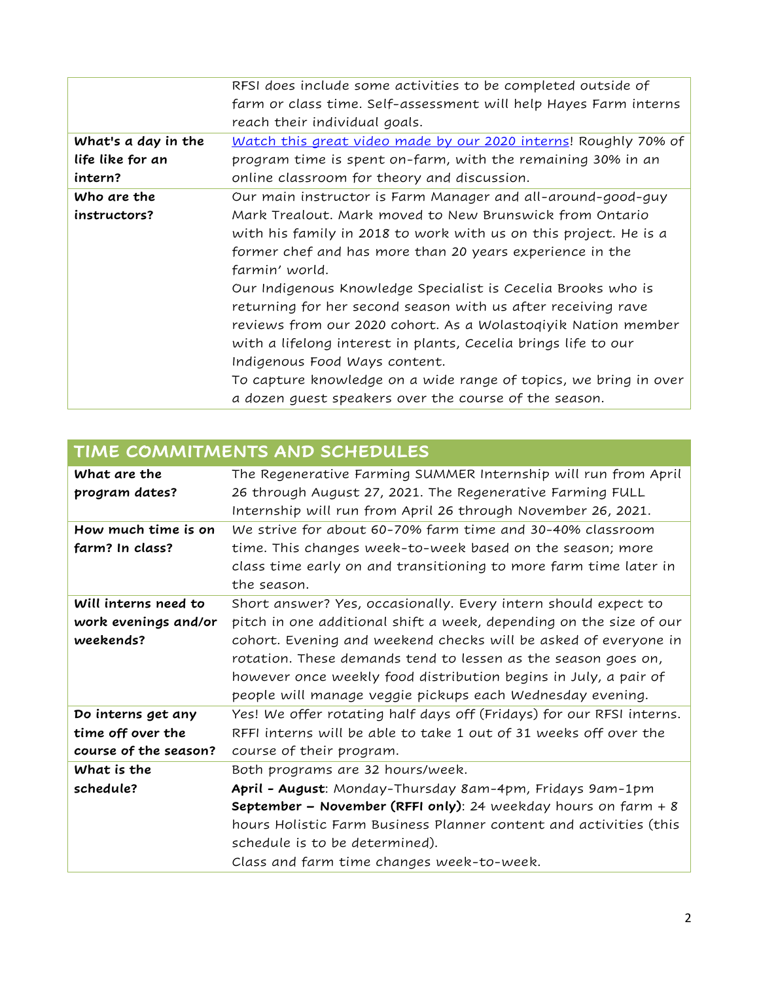|                     | RFSI does include some activities to be completed outside of     |
|---------------------|------------------------------------------------------------------|
|                     | farm or class time. Self-assessment will help Hayes Farm interns |
|                     | reach their individual goals.                                    |
| What's a day in the | Watch this great video made by our 2020 interns! Roughly 70% of  |
| life like for an    | program time is spent on-farm, with the remaining 30% in an      |
| intern?             | online classroom for theory and discussion.                      |
| Who are the         | Our main instructor is Farm Manager and all-around-good-guy      |
| instructors?        | Mark Trealout. Mark moved to New Brunswick from Ontario          |
|                     | with his family in 2018 to work with us on this project. He is a |
|                     | former chef and has more than 20 years experience in the         |
|                     | farmin' world.                                                   |
|                     | Our Indigenous Knowledge Specialist is Cecelia Brooks who is     |
|                     | returning for her second season with us after receiving rave     |
|                     | reviews from our 2020 cohort. As a Wolastoqiyik Nation member    |
|                     | with a lifelong interest in plants, Cecelia brings life to our   |
|                     | Indigenous Food Ways content.                                    |
|                     | To capture knowledge on a wide range of topics, we bring in over |
|                     | a dozen guest speakers over the course of the season.            |

| What are the<br>program dates? | The Regenerative Farming SUMMER Internship will run from April<br>26 through August 27, 2021. The Regenerative Farming FULL |
|--------------------------------|-----------------------------------------------------------------------------------------------------------------------------|
|                                | Internship will run from April 26 through November 26, 2021.                                                                |
| How much time is on            | We strive for about 60-70% farm time and 30-40% classroom                                                                   |
| farm? In class?                | time. This changes week-to-week based on the season; more                                                                   |
|                                | class time early on and transitioning to more farm time later in                                                            |
|                                | the season.                                                                                                                 |
| Will interns need to           | Short answer? Yes, occasionally. Every intern should expect to                                                              |
| work evenings and/or           | pitch in one additional shift a week, depending on the size of our                                                          |
| weekends?                      | cohort. Evening and weekend checks will be asked of everyone in                                                             |
|                                | rotation. These demands tend to lessen as the season goes on,                                                               |
|                                | however once weekly food distribution begins in July, a pair of                                                             |
|                                | people will manage veggie pickups each Wednesday evening.                                                                   |
| Do interns get any             | Yes! We offer rotating half days off (Fridays) for our RFSI interns.                                                        |
| time off over the              | RFFI interns will be able to take 1 out of 31 weeks off over the                                                            |
| course of the season?          | course of their program.                                                                                                    |
| What is the                    | Both programs are 32 hours/week.                                                                                            |
| schedule?                      | April - August: Monday-Thursday 8am-4pm, Fridays 9am-1pm                                                                    |
|                                | September - November (RFFI only): 24 weekday hours on farm + 8                                                              |
|                                | hours Holistic Farm Business Planner content and activities (this                                                           |
|                                | schedule is to be determined).                                                                                              |
|                                | Class and farm time changes week-to-week.                                                                                   |

## **TIME COMMITMENTS AND SCHEDULES**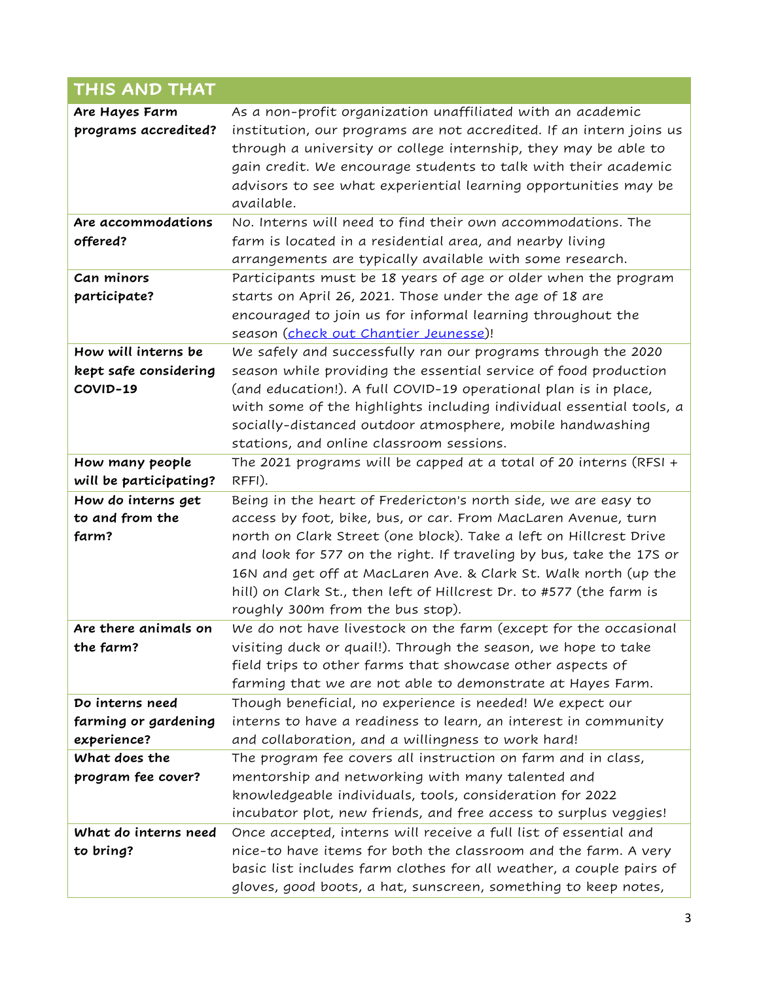| <b>THIS AND THAT</b>                                     |                                                                                                                                                                                                                                                                                                                                                                                                                                                           |
|----------------------------------------------------------|-----------------------------------------------------------------------------------------------------------------------------------------------------------------------------------------------------------------------------------------------------------------------------------------------------------------------------------------------------------------------------------------------------------------------------------------------------------|
| Are Hayes Farm<br>programs accredited?                   | As a non-profit organization unaffiliated with an academic<br>institution, our programs are not accredited. If an intern joins us<br>through a university or college internship, they may be able to<br>gain credit. We encourage students to talk with their academic<br>advisors to see what experiential learning opportunities may be<br>available.                                                                                                   |
| Are accommodations<br>offered?                           | No. Interns will need to find their own accommodations. The<br>farm is located in a residential area, and nearby living<br>arrangements are typically available with some research.                                                                                                                                                                                                                                                                       |
| Can minors<br>participate?                               | Participants must be 18 years of age or older when the program<br>starts on April 26, 2021. Those under the age of 18 are<br>encouraged to join us for informal learning throughout the<br>season (check out Chantier Jeunesse)!                                                                                                                                                                                                                          |
| How will interns be<br>kept safe considering<br>COVID-19 | We safely and successfully ran our programs through the 2020<br>season while providing the essential service of food production<br>(and education!). A full COVID-19 operational plan is in place,<br>with some of the highlights including individual essential tools, a<br>socially-distanced outdoor atmosphere, mobile handwashing<br>stations, and online classroom sessions.                                                                        |
| How many people<br>will be participating?                | The 2021 programs will be capped at a total of 20 interns (RFSI +<br>RFFI).                                                                                                                                                                                                                                                                                                                                                                               |
| How do interns get<br>to and from the<br>farm?           | Being in the heart of Fredericton's north side, we are easy to<br>access by foot, bike, bus, or car. From MacLaren Avenue, turn<br>north on Clark Street (one block). Take a left on Hillcrest Drive<br>and look for 577 on the right. If traveling by bus, take the 17S or<br>16N and get off at MacLaren Ave. & Clark St. Walk north (up the<br>hill) on Clark St., then left of Hillcrest Dr. to #577 (the farm is<br>roughly 300m from the bus stop). |
| Are there animals on<br>the farm?                        | We do not have livestock on the farm (except for the occasional<br>visiting duck or quail!). Through the season, we hope to take<br>field trips to other farms that showcase other aspects of<br>farming that we are not able to demonstrate at Hayes Farm.                                                                                                                                                                                               |
| Do interns need<br>farming or gardening<br>experience?   | Though beneficial, no experience is needed! We expect our<br>interns to have a readiness to learn, an interest in community<br>and collaboration, and a willingness to work hard!                                                                                                                                                                                                                                                                         |
| What does the<br>program fee cover?                      | The program fee covers all instruction on farm and in class,<br>mentorship and networking with many talented and<br>knowledgeable individuals, tools, consideration for 2022<br>incubator plot, new friends, and free access to surplus veggies!                                                                                                                                                                                                          |
| What do interns need<br>to bring?                        | Once accepted, interns will receive a full list of essential and<br>nice-to have items for both the classroom and the farm. A very<br>basic list includes farm clothes for all weather, a couple pairs of<br>gloves, good boots, a hat, sunscreen, something to keep notes,                                                                                                                                                                               |